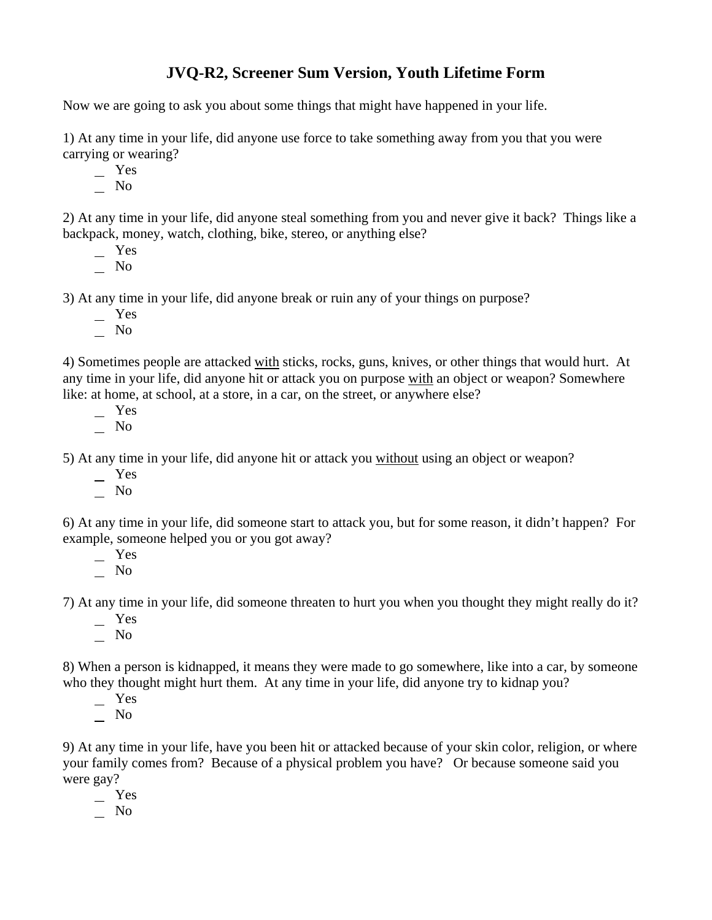## **JVQ-R2, Screener Sum Version, Youth Lifetime Form**

Now we are going to ask you about some things that might have happened in your life.

1) At any time in your life, did anyone use force to take something away from you that you were carrying or wearing?

 Yes  $\overline{\phantom{0}}$  No

2) At any time in your life, did anyone steal something from you and never give it back? Things like a backpack, money, watch, clothing, bike, stereo, or anything else?

 Yes No

3) At any time in your life, did anyone break or ruin any of your things on purpose?

- Yes
- $\overline{\phantom{0}}$  No

4) Sometimes people are attacked with sticks, rocks, guns, knives, or other things that would hurt. At any time in your life, did anyone hit or attack you on purpose with an object or weapon? Somewhere like: at home, at school, at a store, in a car, on the street, or anywhere else?

 Yes No

5) At any time in your life, did anyone hit or attack you without using an object or weapon?

- Yes
- $\overline{\phantom{0}}$  No

6) At any time in your life, did someone start to attack you, but for some reason, it didn't happen? For example, someone helped you or you got away?

 Yes  $\overline{\phantom{0}}$  No

7) At any time in your life, did someone threaten to hurt you when you thought they might really do it?

 Yes No

8) When a person is kidnapped, it means they were made to go somewhere, like into a car, by someone who they thought might hurt them. At any time in your life, did anyone try to kidnap you?

Yes

 $\overline{\phantom{0}}$  No

9) At any time in your life, have you been hit or attacked because of your skin color, religion, or where your family comes from? Because of a physical problem you have? Or because someone said you were gay?

- Yes
- No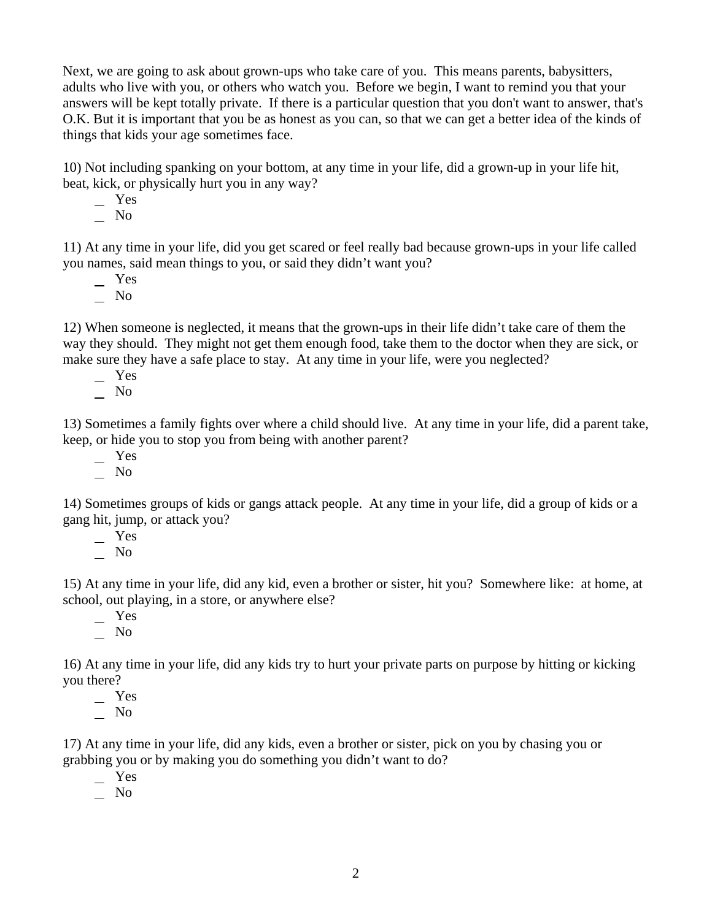Next, we are going to ask about grown-ups who take care of you. This means parents, babysitters, adults who live with you, or others who watch you. Before we begin, I want to remind you that your answers will be kept totally private. If there is a particular question that you don't want to answer, that's O.K. But it is important that you be as honest as you can, so that we can get a better idea of the kinds of things that kids your age sometimes face.

10) Not including spanking on your bottom, at any time in your life, did a grown-up in your life hit, beat, kick, or physically hurt you in any way?

 Yes  $N<sub>0</sub>$ 

11) At any time in your life, did you get scared or feel really bad because grown-ups in your life called you names, said mean things to you, or said they didn't want you?

 Yes  $\overline{\phantom{0}}$  No

12) When someone is neglected, it means that the grown-ups in their life didn't take care of them the way they should. They might not get them enough food, take them to the doctor when they are sick, or make sure they have a safe place to stay. At any time in your life, were you neglected?

Yes

 $\overline{\phantom{0}}$  No

13) Sometimes a family fights over where a child should live. At any time in your life, did a parent take, keep, or hide you to stop you from being with another parent?

Yes

No

14) Sometimes groups of kids or gangs attack people. At any time in your life, did a group of kids or a gang hit, jump, or attack you?

 $-$  Yes

 $\overline{\phantom{0}}$  No

15) At any time in your life, did any kid, even a brother or sister, hit you? Somewhere like: at home, at school, out playing, in a store, or anywhere else?

 $-$  Yes No

16) At any time in your life, did any kids try to hurt your private parts on purpose by hitting or kicking you there?

 Yes  $\overline{\phantom{0}}$  No

17) At any time in your life, did any kids, even a brother or sister, pick on you by chasing you or grabbing you or by making you do something you didn't want to do?

Yes

 $\overline{\phantom{0}}$  No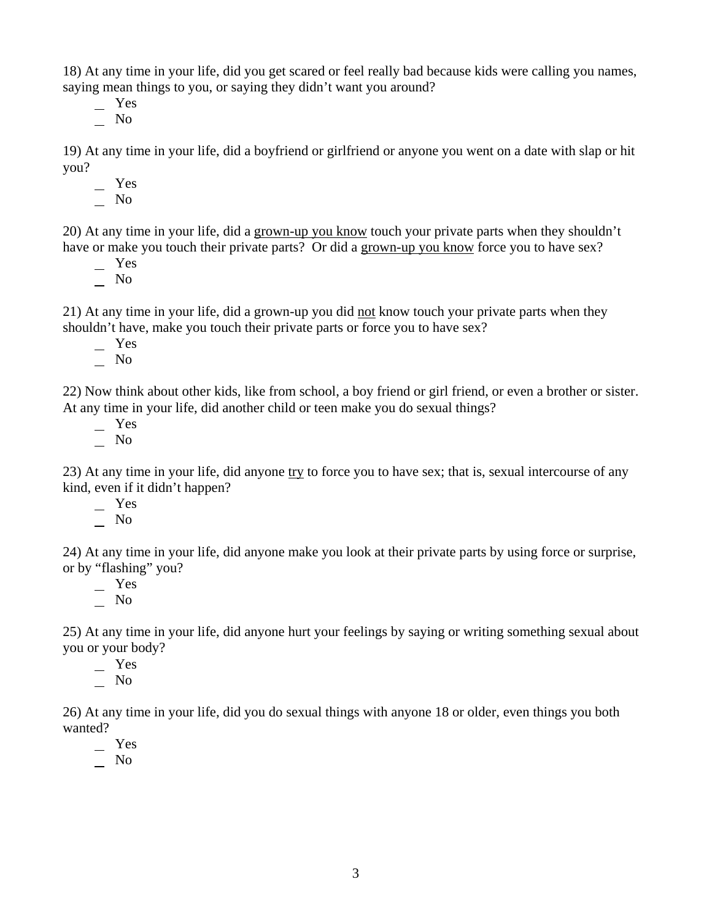18) At any time in your life, did you get scared or feel really bad because kids were calling you names, saying mean things to you, or saying they didn't want you around?

 Yes  $\overline{\phantom{a}}$  No

19) At any time in your life, did a boyfriend or girlfriend or anyone you went on a date with slap or hit you?

Yes

 $\overline{\phantom{0}}$  No

20) At any time in your life, did a grown-up you know touch your private parts when they shouldn't have or make you touch their private parts? Or did a grown-up you know force you to have sex?

Yes

 $\overline{\phantom{0}}$  No

21) At any time in your life, did a grown-up you did not know touch your private parts when they shouldn't have, make you touch their private parts or force you to have sex?

Yes

 $\overline{\phantom{0}}$  No

22) Now think about other kids, like from school, a boy friend or girl friend, or even a brother or sister. At any time in your life, did another child or teen make you do sexual things?

Yes

 $\overline{\phantom{a}}$  No

23) At any time in your life, did anyone try to force you to have sex; that is, sexual intercourse of any kind, even if it didn't happen?

 Yes  $\overline{\phantom{0}}$  No

24) At any time in your life, did anyone make you look at their private parts by using force or surprise, or by "flashing" you?

Yes

No

25) At any time in your life, did anyone hurt your feelings by saying or writing something sexual about you or your body?

Yes

 $\overline{\phantom{0}}$  No

26) At any time in your life, did you do sexual things with anyone 18 or older, even things you both wanted?

Yes

No